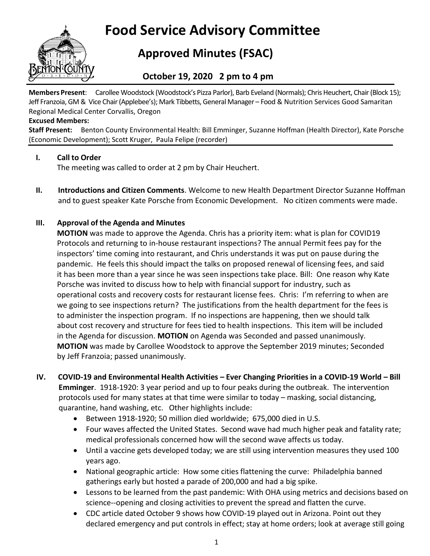

# **Food Service Advisory Committee**

## **Approved Minutes (FSAC)**

### **October 19, 2020 2 pm to 4 pm**

**Members Present**: Carollee Woodstock (Woodstock's Pizza Parlor), Barb Eveland (Normals); Chris Heuchert, Chair(Block 15); Jeff Franzoia, GM & Vice Chair(Applebee's); Mark Tibbetts, General Manager – Food & Nutrition Services Good Samaritan Regional Medical Center Corvallis, Oregon

#### **Excused Members:**

**Staff Present:** Benton County Environmental Health: Bill Emminger, Suzanne Hoffman (Health Director), Kate Porsche (Economic Development); Scott Kruger, Paula Felipe (recorder)

#### **I. Call to Order**

The meeting was called to order at 2 pm by Chair Heuchert.

**II. Introductions and Citizen Comments**. Welcome to new Health Department Director Suzanne Hoffman and to guest speaker Kate Porsche from Economic Development. No citizen comments were made.

#### **III. Approval of the Agenda and Minutes**

**MOTION** was made to approve the Agenda. Chris has a priority item: what is plan for COVID19 Protocols and returning to in-house restaurant inspections? The annual Permit fees pay for the inspectors' time coming into restaurant, and Chris understands it was put on pause during the pandemic. He feels this should impact the talks on proposed renewal of licensing fees, and said it has been more than a year since he was seen inspections take place. Bill: One reason why Kate Porsche was invited to discuss how to help with financial support for industry, such as operational costs and recovery costs for restaurant license fees. Chris: I'm referring to when are we going to see inspections return? The justifications from the health department for the fees is to administer the inspection program. If no inspections are happening, then we should talk about cost recovery and structure for fees tied to health inspections. This item will be included in the Agenda for discussion. **MOTION** on Agenda was Seconded and passed unanimously. **MOTION** was made by Carollee Woodstock to approve the September 2019 minutes; Seconded by Jeff Franzoia; passed unanimously.

- **IV. COVID-19 and Environmental Health Activities – Ever Changing Priorities in a COVID-19 World – Bill Emminger**. 1918-1920: 3 year period and up to four peaks during the outbreak. The intervention protocols used for many states at that time were similar to today – masking, social distancing, quarantine, hand washing, etc. Other highlights include:
	- Between 1918-1920; 50 million died worldwide; 675,000 died in U.S.
	- Four waves affected the United States. Second wave had much higher peak and fatality rate; medical professionals concerned how will the second wave affects us today.
	- Until a vaccine gets developed today; we are still using intervention measures they used 100 years ago.
	- National geographic article: How some cities flattening the curve: Philadelphia banned gatherings early but hosted a parade of 200,000 and had a big spike.
	- Lessons to be learned from the past pandemic: With OHA using metrics and decisions based on science--opening and closing activities to prevent the spread and flatten the curve.
	- CDC article dated October 9 shows how COVID-19 played out in Arizona. Point out they declared emergency and put controls in effect; stay at home orders; look at average still going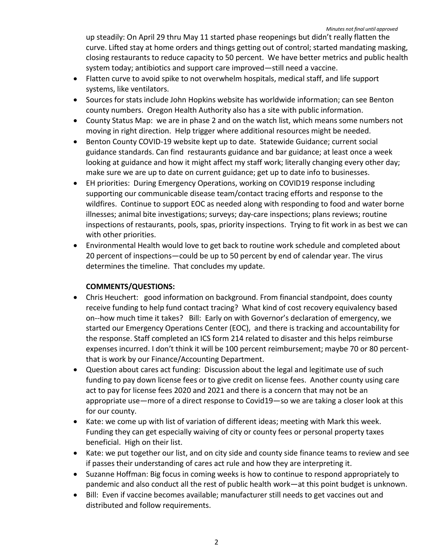up steadily: On April 29 thru May 11 started phase reopenings but didn't really flatten the curve. Lifted stay at home orders and things getting out of control; started mandating masking, closing restaurants to reduce capacity to 50 percent. We have better metrics and public health system today; antibiotics and support care improved—still need a vaccine.

- Flatten curve to avoid spike to not overwhelm hospitals, medical staff, and life support systems, like ventilators.
- Sources for stats include John Hopkins website has worldwide information; can see Benton county numbers. Oregon Health Authority also has a site with public information.
- County Status Map: we are in phase 2 and on the watch list, which means some numbers not moving in right direction. Help trigger where additional resources might be needed.
- Benton County COVID-19 website kept up to date. Statewide Guidance; current social guidance standards. Can find restaurants guidance and bar guidance; at least once a week looking at guidance and how it might affect my staff work; literally changing every other day; make sure we are up to date on current guidance; get up to date info to businesses.
- EH priorities: During Emergency Operations, working on COVID19 response including supporting our communicable disease team/contact tracing efforts and response to the wildfires. Continue to support EOC as needed along with responding to food and water borne illnesses; animal bite investigations; surveys; day-care inspections; plans reviews; routine inspections of restaurants, pools, spas, priority inspections. Trying to fit work in as best we can with other priorities.
- Environmental Health would love to get back to routine work schedule and completed about 20 percent of inspections—could be up to 50 percent by end of calendar year. The virus determines the timeline. That concludes my update.

#### **COMMENTS/QUESTIONS:**

- Chris Heuchert: good information on background. From financial standpoint, does county receive funding to help fund contact tracing? What kind of cost recovery equivalency based on--how much time it takes? Bill: Early on with Governor's declaration of emergency, we started our Emergency Operations Center (EOC), and there is tracking and accountability for the response. Staff completed an ICS form 214 related to disaster and this helps reimburse expenses incurred. I don't think it will be 100 percent reimbursement; maybe 70 or 80 percentthat is work by our Finance/Accounting Department.
- Question about cares act funding: Discussion about the legal and legitimate use of such funding to pay down license fees or to give credit on license fees. Another county using care act to pay for license fees 2020 and 2021 and there is a concern that may not be an appropriate use—more of a direct response to Covid19—so we are taking a closer look at this for our county.
- Kate: we come up with list of variation of different ideas; meeting with Mark this week. Funding they can get especially waiving of city or county fees or personal property taxes beneficial. High on their list.
- Kate: we put together our list, and on city side and county side finance teams to review and see if passes their understanding of cares act rule and how they are interpreting it.
- Suzanne Hoffman: Big focus in coming weeks is how to continue to respond appropriately to pandemic and also conduct all the rest of public health work—at this point budget is unknown.
- Bill: Even if vaccine becomes available; manufacturer still needs to get vaccines out and distributed and follow requirements.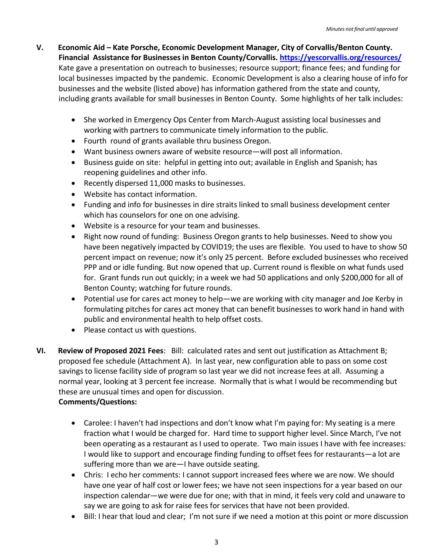- **V. Economic Aid – Kate Porsche, Economic Development Manager, City of Corvallis/Benton County. Financial Assistance for Businesses in Benton County/Corvallis.<https://yescorvallis.org/resources/>** Kate gave a presentation on outreach to businesses; resource support; finance fees; and funding for local businesses impacted by the pandemic. Economic Development is also a clearing house of info for businesses and the website (listed above) has information gathered from the state and county, including grants available for small businesses in Benton County. Some highlights of her talk includes:
	- She worked in Emergency Ops Center from March-August assisting local businesses and working with partners to communicate timely information to the public.
	- Fourth round of grants available thru business Oregon.
	- Want business owners aware of website resource—will post all information.
	- Business guide on site: helpful in getting into out; available in English and Spanish; has reopening guidelines and other info.
	- Recently dispersed 11,000 masks to businesses.
	- Website has contact information.
	- Funding and info for businesses in dire straits linked to small business development center which has counselors for one on one advising.
	- Website is a resource for your team and businesses.
	- Right now round of funding: Business Oregon grants to help businesses. Need to show you have been negatively impacted by COVID19; the uses are flexible. You used to have to show 50 percent impact on revenue; now it's only 25 percent. Before excluded businesses who received PPP and or idle funding. But now opened that up. Current round is flexible on what funds used for. Grant funds run out quickly; in a week we had 50 applications and only \$200,000 for all of Benton County; watching for future rounds.
	- Potential use for cares act money to help—we are working with city manager and Joe Kerby in formulating pitches for cares act money that can benefit businesses to work hand in hand with public and environmental health to help offset costs.
	- Please contact us with questions.
- **VI. Review of Proposed 2021 Fees**: Bill: calculated rates and sent out justification as Attachment B; proposed fee schedule (Attachment A). In last year, new configuration able to pass on some cost savings to license facility side of program so last year we did not increase fees at all. Assuming a normal year, looking at 3 percent fee increase. Normally that is what I would be recommending but these are unusual times and open for discussion.

#### **Comments/Questions:**

- Carolee: I haven't had inspections and don't know what I'm paying for: My seating is a mere fraction what I would be charged for. Hard time to support higher level. Since March, I've not been operating as a restaurant as I used to operate. Two main issues I have with fee increases: I would like to support and encourage finding funding to offset fees for restaurants—a lot are suffering more than we are—I have outside seating.
- Chris: I echo her comments: I cannot support increased fees where we are now. We should have one year of half cost or lower fees; we have not seen inspections for a year based on our inspection calendar—we were due for one; with that in mind, it feels very cold and unaware to say we are going to ask for raise fees for services that have not been provided.
- Bill: I hear that loud and clear; I'm not sure if we need a motion at this point or more discussion